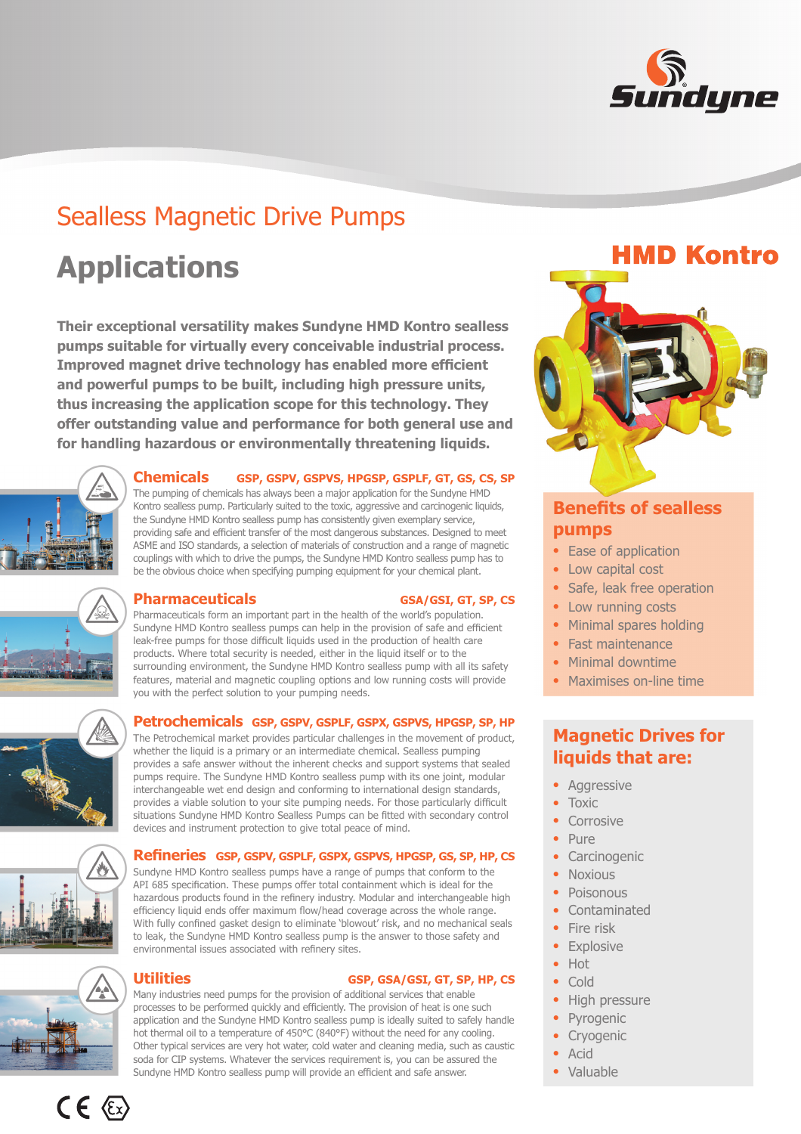

# Sealless Magnetic Drive Pumps

# **Applications**

**Their exceptional versatility makes Sundyne HMD Kontro sealless pumps suitable for virtually every conceivable industrial process. Improved magnet drive technology has enabled more efficient and powerful pumps to be built, including high pressure units, thus increasing the application scope for this technology. They offer outstanding value and performance for both general use and for handling hazardous or environmentally threatening liquids.**



#### **Chemicals GSP, GSPV, GSPVS, HPGSP, GSPLF, GT, GS, CS, SP**

The pumping of chemicals has always been a major application for the Sundyne HMD Kontro sealless pump. Particularly suited to the toxic, aggressive and carcinogenic liquids, the Sundyne HMD Kontro sealless pump has consistently given exemplary service, providing safe and efficient transfer of the most dangerous substances. Designed to meet ASME and ISO standards, a selection of materials of construction and a range of magnetic couplings with which to drive the pumps, the Sundyne HMD Kontro sealless pump has to be the obvious choice when specifying pumping equipment for your chemical plant.



### **Pharmaceuticals** GSA/GSI, GT, SP, CS

Pharmaceuticals form an important part in the health of the world's population. Sundyne HMD Kontro sealless pumps can help in the provision of safe and efficient leak-free pumps for those difficult liquids used in the production of health care products. Where total security is needed, either in the liquid itself or to the surrounding environment, the Sundyne HMD Kontro sealless pump with all its safety features, material and magnetic coupling options and low running costs will provide you with the perfect solution to your pumping needs.

**Petrochemicals GSP, GSPV, GSPLF, GSPX, GSPVS, HPGSP, SP, HP**

The Petrochemical market provides particular challenges in the movement of product, whether the liquid is a primary or an intermediate chemical. Sealless pumping provides a safe answer without the inherent checks and support systems that sealed pumps require. The Sundyne HMD Kontro sealless pump with its one joint, modular interchangeable wet end design and conforming to international design standards, provides a viable solution to your site pumping needs. For those particularly difficult situations Sundyne HMD Kontro Sealless Pumps can be fitted with secondary control devices and instrument protection to give total peace of mind.

#### **Refi neries GSP, GSPV, GSPLF, GSPX, GSPVS, HPGSP, GS, SP, HP, CS**

Sundyne HMD Kontro sealless pumps have a range of pumps that conform to the API 685 specification. These pumps offer total containment which is ideal for the hazardous products found in the refinery industry. Modular and interchangeable high efficiency liquid ends offer maximum flow/head coverage across the whole range. With fully confined gasket design to eliminate 'blowout' risk, and no mechanical seals to leak, the Sundyne HMD Kontro sealless pump is the answer to those safety and environmental issues associated with refinery sites.



 $CE \langle Ex \rangle$ 

### **Utilities GSP, GSA/GSI, GT, SP, HP, CS**

Many industries need pumps for the provision of additional services that enable processes to be performed quickly and efficiently. The provision of heat is one such application and the Sundyne HMD Kontro sealless pump is ideally suited to safely handle hot thermal oil to a temperature of 450°C (840°F) without the need for any cooling. Other typical services are very hot water, cold water and cleaning media, such as caustic soda for CIP systems. Whatever the services requirement is, you can be assured the Sundyne HMD Kontro sealless pump will provide an efficient and safe answer.



## **Benefits of sealless pumps**

- Ease of application
- Low capital cost
- Safe, leak free operation
- Low running costs
- Minimal spares holding
- Fast maintenance
- Minimal downtime
- $\bullet$ Maximises on-line time

# **Magnetic Drives for liquids that are:**

- Aggressive
- $\bullet$ Toxic
- Corrosive
- $\bullet$ Pure
- Carcinogenic
- Noxious
- $\bullet$ Poisonous
- Contaminated
- Fire risk
- Explosive
- Hot
- Cold
- High pressure
- Pyrogenic
- Cryogenic
- $\bullet$ Acid
- $\bullet$ Valuable